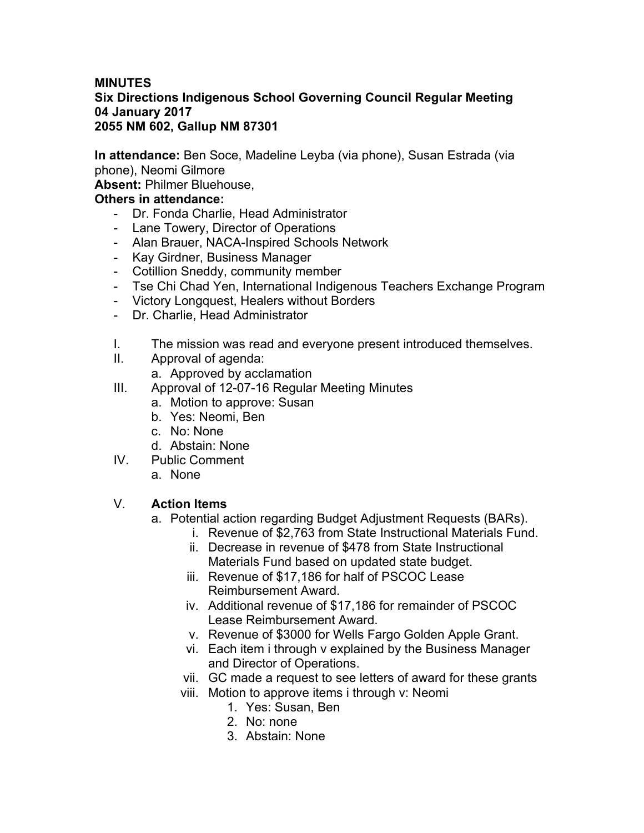### **MINUTES Six Directions Indigenous School Governing Council Regular Meeting 04 January 2017 2055 NM 602, Gallup NM 87301**

**In attendance:** Ben Soce, Madeline Leyba (via phone), Susan Estrada (via phone), Neomi Gilmore

**Absent:** Philmer Bluehouse,

## **Others in attendance:**

- Dr. Fonda Charlie, Head Administrator
- Lane Towery, Director of Operations
- Alan Brauer, NACA-Inspired Schools Network
- Kay Girdner, Business Manager
- Cotillion Sneddy, community member
- Tse Chi Chad Yen, International Indigenous Teachers Exchange Program
- Victory Longquest, Healers without Borders
- Dr. Charlie, Head Administrator
- I. The mission was read and everyone present introduced themselves.
- II. Approval of agenda:
	- a. Approved by acclamation
- III. Approval of 12-07-16 Regular Meeting Minutes
	- a. Motion to approve: Susan
	- b. Yes: Neomi, Ben
	- c. No: None
	- d. Abstain: None
- IV. Public Comment
	- a. None

### V. **Action Items**

- a. Potential action regarding Budget Adjustment Requests (BARs).
	- i. Revenue of \$2,763 from State Instructional Materials Fund.
	- ii. Decrease in revenue of \$478 from State Instructional Materials Fund based on updated state budget.
	- iii. Revenue of \$17,186 for half of PSCOC Lease Reimbursement Award.
	- iv. Additional revenue of \$17,186 for remainder of PSCOC Lease Reimbursement Award.
	- v. Revenue of \$3000 for Wells Fargo Golden Apple Grant.
	- vi. Each item i through v explained by the Business Manager and Director of Operations.
	- vii. GC made a request to see letters of award for these grants
	- viii. Motion to approve items i through v: Neomi
		- 1. Yes: Susan, Ben
		- 2. No: none
		- 3. Abstain: None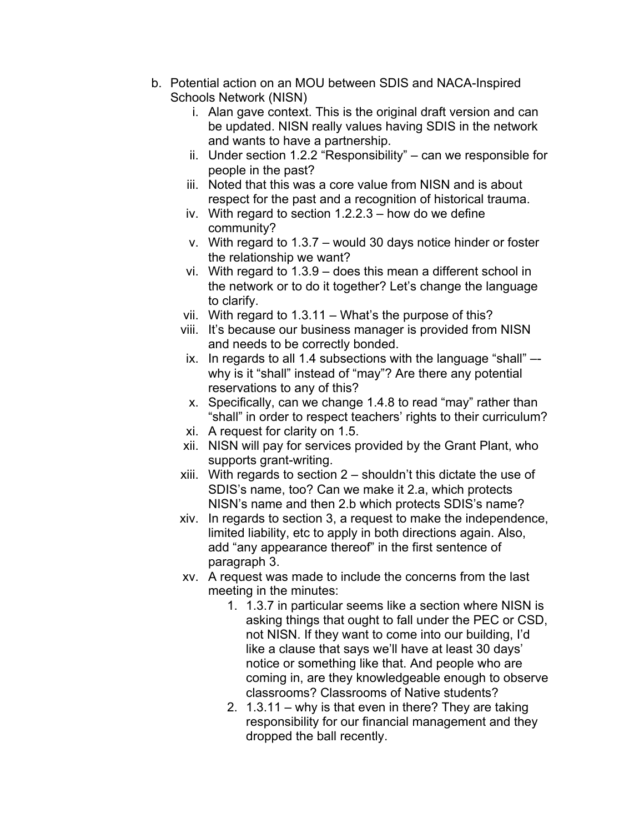- b. Potential action on an MOU between SDIS and NACA-Inspired Schools Network (NISN)
	- i. Alan gave context. This is the original draft version and can be updated. NISN really values having SDIS in the network and wants to have a partnership.
	- ii. Under section 1.2.2 "Responsibility" can we responsible for people in the past?
	- iii. Noted that this was a core value from NISN and is about respect for the past and a recognition of historical trauma.
	- iv. With regard to section 1.2.2.3 how do we define community?
	- v. With regard to 1.3.7 would 30 days notice hinder or foster the relationship we want?
	- vi. With regard to 1.3.9 does this mean a different school in the network or to do it together? Let's change the language to clarify.
	- vii. With regard to 1.3.11 What's the purpose of this?
	- viii. It's because our business manager is provided from NISN and needs to be correctly bonded.
	- ix. In regards to all 1.4 subsections with the language "shall" why is it "shall" instead of "may"? Are there any potential reservations to any of this?
	- x. Specifically, can we change 1.4.8 to read "may" rather than "shall" in order to respect teachers' rights to their curriculum?
	- xi. A request for clarity on 1.5.
	- xii. NISN will pay for services provided by the Grant Plant, who supports grant-writing.
	- xiii. With regards to section 2 shouldn't this dictate the use of SDIS's name, too? Can we make it 2.a, which protects NISN's name and then 2.b which protects SDIS's name?
	- xiv. In regards to section 3, a request to make the independence, limited liability, etc to apply in both directions again. Also, add "any appearance thereof" in the first sentence of paragraph 3.
	- xv. A request was made to include the concerns from the last meeting in the minutes:
		- 1. 1.3.7 in particular seems like a section where NISN is asking things that ought to fall under the PEC or CSD, not NISN. If they want to come into our building, I'd like a clause that says we'll have at least 30 days' notice or something like that. And people who are coming in, are they knowledgeable enough to observe classrooms? Classrooms of Native students?
		- 2. 1.3.11 why is that even in there? They are taking responsibility for our financial management and they dropped the ball recently.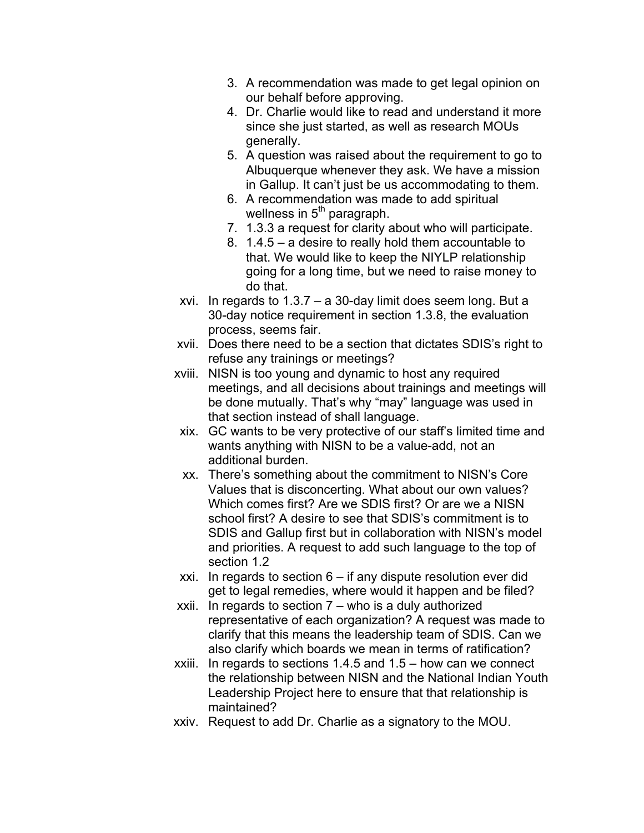- 3. A recommendation was made to get legal opinion on our behalf before approving.
- 4. Dr. Charlie would like to read and understand it more since she just started, as well as research MOUs generally.
- 5. A question was raised about the requirement to go to Albuquerque whenever they ask. We have a mission in Gallup. It can't just be us accommodating to them.
- 6. A recommendation was made to add spiritual wellness in  $5<sup>th</sup>$  paragraph.
- 7. 1.3.3 a request for clarity about who will participate.
- 8. 1.4.5 a desire to really hold them accountable to that. We would like to keep the NIYLP relationship going for a long time, but we need to raise money to do that.
- xvi. In regards to 1.3.7 a 30-day limit does seem long. But a 30-day notice requirement in section 1.3.8, the evaluation process, seems fair.
- xvii. Does there need to be a section that dictates SDIS's right to refuse any trainings or meetings?
- xviii. NISN is too young and dynamic to host any required meetings, and all decisions about trainings and meetings will be done mutually. That's why "may" language was used in that section instead of shall language.
- xix. GC wants to be very protective of our staff's limited time and wants anything with NISN to be a value-add, not an additional burden.
- xx. There's something about the commitment to NISN's Core Values that is disconcerting. What about our own values? Which comes first? Are we SDIS first? Or are we a NISN school first? A desire to see that SDIS's commitment is to SDIS and Gallup first but in collaboration with NISN's model and priorities. A request to add such language to the top of section 1.2
- xxi. In regards to section 6 if any dispute resolution ever did get to legal remedies, where would it happen and be filed?
- xxii. In regards to section 7 who is a duly authorized representative of each organization? A request was made to clarify that this means the leadership team of SDIS. Can we also clarify which boards we mean in terms of ratification?
- xxiii. In regards to sections 1.4.5 and 1.5 how can we connect the relationship between NISN and the National Indian Youth Leadership Project here to ensure that that relationship is maintained?
- xxiv. Request to add Dr. Charlie as a signatory to the MOU.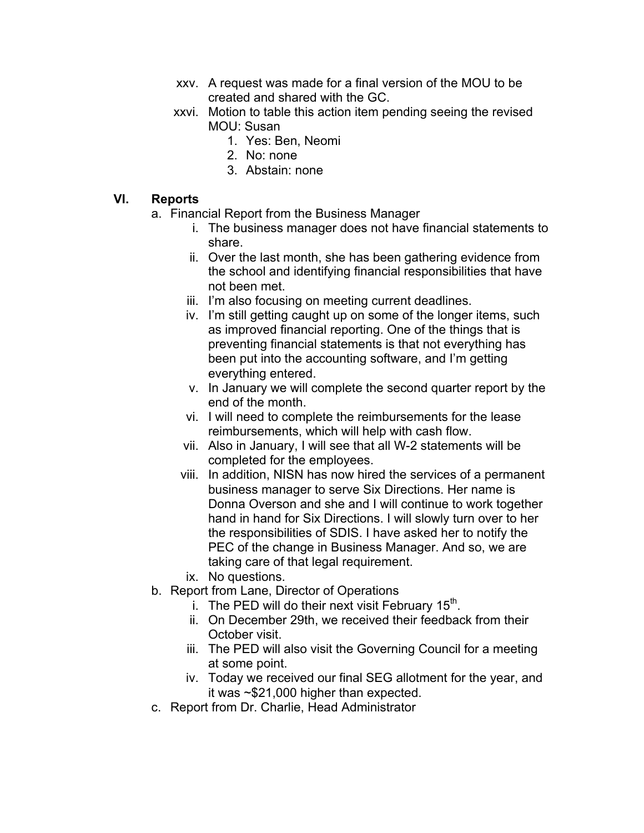- xxv. A request was made for a final version of the MOU to be created and shared with the GC.
- xxvi. Motion to table this action item pending seeing the revised MOU: Susan
	- 1. Yes: Ben, Neomi
	- 2. No: none
	- 3. Abstain: none

# **VI. Reports**

- a. Financial Report from the Business Manager
	- i. The business manager does not have financial statements to share.
	- ii. Over the last month, she has been gathering evidence from the school and identifying financial responsibilities that have not been met.
	- iii. I'm also focusing on meeting current deadlines.
	- iv. I'm still getting caught up on some of the longer items, such as improved financial reporting. One of the things that is preventing financial statements is that not everything has been put into the accounting software, and I'm getting everything entered.
	- v. In January we will complete the second quarter report by the end of the month.
	- vi. I will need to complete the reimbursements for the lease reimbursements, which will help with cash flow.
	- vii. Also in January, I will see that all W-2 statements will be completed for the employees.
	- viii. In addition, NISN has now hired the services of a permanent business manager to serve Six Directions. Her name is Donna Overson and she and I will continue to work together hand in hand for Six Directions. I will slowly turn over to her the responsibilities of SDIS. I have asked her to notify the PEC of the change in Business Manager. And so, we are taking care of that legal requirement.
	- ix. No questions.
- b. Report from Lane, Director of Operations
	- i. The PED will do their next visit February  $15<sup>th</sup>$ .
	- ii. On December 29th, we received their feedback from their October visit.
	- iii. The PED will also visit the Governing Council for a meeting at some point.
	- iv. Today we received our final SEG allotment for the year, and it was ~\$21,000 higher than expected.
- c. Report from Dr. Charlie, Head Administrator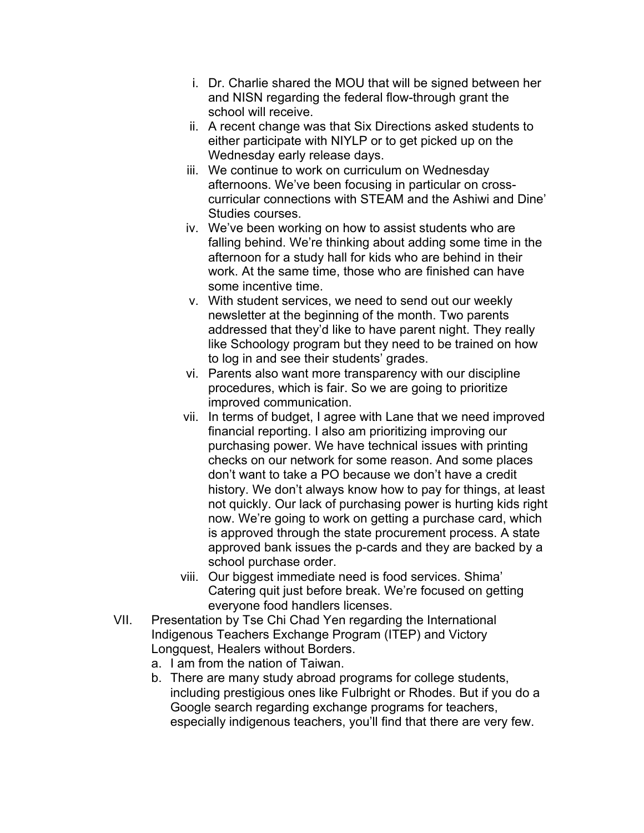- i. Dr. Charlie shared the MOU that will be signed between her and NISN regarding the federal flow-through grant the school will receive.
- ii. A recent change was that Six Directions asked students to either participate with NIYLP or to get picked up on the Wednesday early release days.
- iii. We continue to work on curriculum on Wednesday afternoons. We've been focusing in particular on crosscurricular connections with STEAM and the Ashiwi and Dine' Studies courses.
- iv. We've been working on how to assist students who are falling behind. We're thinking about adding some time in the afternoon for a study hall for kids who are behind in their work. At the same time, those who are finished can have some incentive time.
- v. With student services, we need to send out our weekly newsletter at the beginning of the month. Two parents addressed that they'd like to have parent night. They really like Schoology program but they need to be trained on how to log in and see their students' grades.
- vi. Parents also want more transparency with our discipline procedures, which is fair. So we are going to prioritize improved communication.
- vii. In terms of budget, I agree with Lane that we need improved financial reporting. I also am prioritizing improving our purchasing power. We have technical issues with printing checks on our network for some reason. And some places don't want to take a PO because we don't have a credit history. We don't always know how to pay for things, at least not quickly. Our lack of purchasing power is hurting kids right now. We're going to work on getting a purchase card, which is approved through the state procurement process. A state approved bank issues the p-cards and they are backed by a school purchase order.
- viii. Our biggest immediate need is food services. Shima' Catering quit just before break. We're focused on getting everyone food handlers licenses.
- VII. Presentation by Tse Chi Chad Yen regarding the International Indigenous Teachers Exchange Program (ITEP) and Victory Longquest, Healers without Borders.
	- a. I am from the nation of Taiwan.
	- b. There are many study abroad programs for college students, including prestigious ones like Fulbright or Rhodes. But if you do a Google search regarding exchange programs for teachers, especially indigenous teachers, you'll find that there are very few.